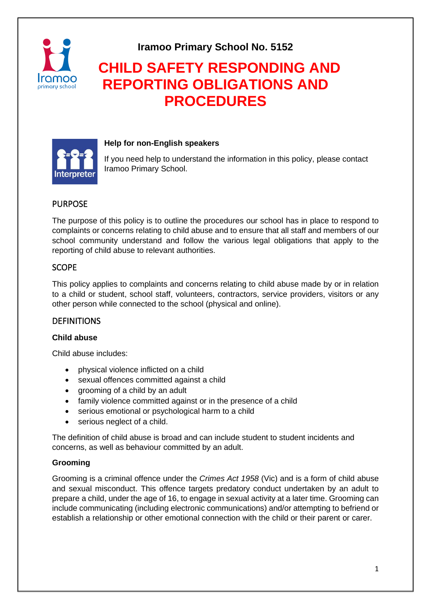

**Iramoo Primary School No. 5152**

# **CHILD SAFETY RESPONDING AND REPORTING OBLIGATIONS AND PROCEDURES**



## **Help for non-English speakers**

If you need help to understand the information in this policy, please contact Iramoo Primary School.

# PURPOSE

The purpose of this policy is to outline the procedures our school has in place to respond to complaints or concerns relating to child abuse and to ensure that all staff and members of our school community understand and follow the various legal obligations that apply to the reporting of child abuse to relevant authorities.

## **SCOPE**

This policy applies to complaints and concerns relating to child abuse made by or in relation to a child or student, school staff, volunteers, contractors, service providers, visitors or any other person while connected to the school (physical and online).

## DEFINITIONS

#### **Child abuse**

Child abuse includes:

- physical violence inflicted on a child
- sexual offences committed against a child
- grooming of a child by an adult
- family violence committed against or in the presence of a child
- serious emotional or psychological harm to a child
- serious neglect of a child.

The definition of child abuse is broad and can include student to student incidents and concerns, as well as behaviour committed by an adult.

#### **Grooming**

Grooming is a criminal offence under the *Crimes Act 1958* (Vic) and is a form of child abuse and sexual misconduct. This offence targets predatory conduct undertaken by an adult to prepare a child, under the age of 16, to engage in sexual activity at a later time. Grooming can include communicating (including electronic communications) and/or attempting to befriend or establish a relationship or other emotional connection with the child or their parent or carer.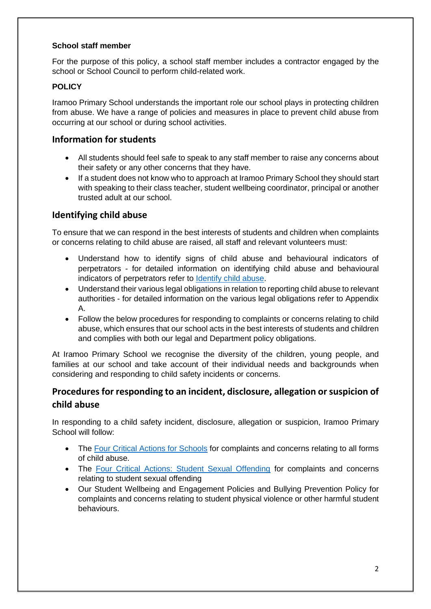## **School staff member**

For the purpose of this policy, a school staff member includes a contractor engaged by the school or School Council to perform child-related work.

## **POLICY**

Iramoo Primary School understands the important role our school plays in protecting children from abuse. We have a range of policies and measures in place to prevent child abuse from occurring at our school or during school activities.

# **Information for students**

- All students should feel safe to speak to any staff member to raise any concerns about their safety or any other concerns that they have.
- If a student does not know who to approach at Iramoo Primary School they should start with speaking to their class teacher, student wellbeing coordinator, principal or another trusted adult at our school.

## **Identifying child abuse**

To ensure that we can respond in the best interests of students and children when complaints or concerns relating to child abuse are raised, all staff and relevant volunteers must:

- Understand how to identify signs of child abuse and behavioural indicators of perpetrators - for detailed information on identifying child abuse and behavioural indicators of perpetrators refer to [Identify child abuse.](https://www.education.vic.gov.au/school/teachers/health/childprotection/Pages/identify.aspx)
- Understand their various legal obligations in relation to reporting child abuse to relevant authorities - for detailed information on the various legal obligations refer to Appendix A.
- Follow the below procedures for responding to complaints or concerns relating to child abuse, which ensures that our school acts in the best interests of students and children and complies with both our legal and Department policy obligations.

At Iramoo Primary School we recognise the diversity of the children, young people, and families at our school and take account of their individual needs and backgrounds when considering and responding to child safety incidents or concerns.

# **Procedures for responding to an incident, disclosure, allegation or suspicion of child abuse**

In responding to a child safety incident, disclosure, allegation or suspicion, Iramoo Primary School will follow:

- The [Four Critical Actions for Schools](https://www.education.vic.gov.au/Documents/about/programs/health/protect/FourCriticalActions_ChildAbuse.pdf) for complaints and concerns relating to all forms of child abuse.
- The [Four Critical Actions: Student Sexual Offending](https://www.education.vic.gov.au/school/teachers/health/childprotection/Pages/stusexual.aspx) for complaints and concerns relating to student sexual offending
- Our Student Wellbeing and Engagement Policies and Bullying Prevention Policy for complaints and concerns relating to student physical violence or other harmful student behaviours.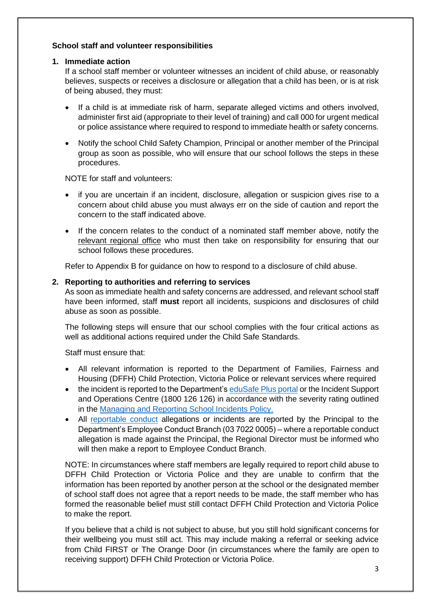#### **School staff and volunteer responsibilities**

#### **1. Immediate action**

If a school staff member or volunteer witnesses an incident of child abuse, or reasonably believes, suspects or receives a disclosure or allegation that a child has been, or is at risk of being abused, they must:

- If a child is at immediate risk of harm, separate alleged victims and others involved, administer first aid (appropriate to their level of training) and call 000 for urgent medical or police assistance where required to respond to immediate health or safety concerns.
- Notify the school Child Safety Champion, Principal or another member of the Principal group as soon as possible, who will ensure that our school follows the steps in these procedures.

NOTE for staff and volunteers:

- if you are uncertain if an incident, disclosure, allegation or suspicion gives rise to a concern about child abuse you must always err on the side of caution and report the concern to the staff indicated above.
- If the concern relates to the conduct of a nominated staff member above, notify the relevant [regional office](https://www.vic.gov.au/contact-us-department-education-and-training#regional-office-contact-list) who must then take on responsibility for ensuring that our school follows these procedures.

Refer to Appendix B for guidance on how to respond to a disclosure of child abuse.

## **2. Reporting to authorities and referring to services**

As soon as immediate health and safety concerns are addressed, and relevant school staff have been informed, staff **must** report all incidents, suspicions and disclosures of child abuse as soon as possible.

The following steps will ensure that our school complies with the four critical actions as well as additional actions required under the Child Safe Standards.

Staff must ensure that:

- All relevant information is reported to the Department of Families, Fairness and Housing (DFFH) Child Protection, Victoria Police or relevant services where required
- the incident is reported to the Department's [eduSafe Plus portal](https://services.educationapps.vic.gov.au/edusafeplus) or the Incident Support and Operations Centre (1800 126 126) in accordance with the severity rating outlined in the [Managing and Reporting School Incidents Policy.](https://www2.education.vic.gov.au/pal/reporting-and-managing-school-incidents-including-emergencies/policy)
- All [reportable conduct](https://www2.education.vic.gov.au/pal/reportable-conduct-scheme/policy) allegations or incidents are reported by the Principal to the Department's Employee Conduct Branch (03 7022 0005) – where a reportable conduct allegation is made against the Principal, the Regional Director must be informed who will then make a report to Employee Conduct Branch.

NOTE: In circumstances where staff members are legally required to report child abuse to DFFH Child Protection or Victoria Police and they are unable to confirm that the information has been reported by another person at the school or the designated member of school staff does not agree that a report needs to be made, the staff member who has formed the reasonable belief must still contact DFFH Child Protection and Victoria Police to make the report.

If you believe that a child is not subject to abuse, but you still hold significant concerns for their wellbeing you must still act. This may include making a referral or seeking advice from Child FIRST or The Orange Door (in circumstances where the family are open to receiving support) DFFH Child Protection or Victoria Police.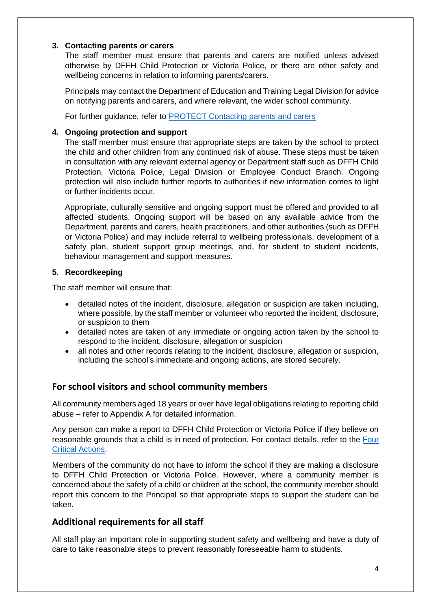#### **3. Contacting parents or carers**

The staff member must ensure that parents and carers are notified unless advised otherwise by DFFH Child Protection or Victoria Police, or there are other safety and wellbeing concerns in relation to informing parents/carers.

Principals may contact the Department of Education and Training Legal Division for advice on notifying parents and carers, and where relevant, the wider school community.

For further guidance, refer to **PROTECT** Contacting parents and carers

## **4. Ongoing protection and support**

The staff member must ensure that appropriate steps are taken by the school to protect the child and other children from any continued risk of abuse. These steps must be taken in consultation with any relevant external agency or Department staff such as DFFH Child Protection, Victoria Police, Legal Division or Employee Conduct Branch. Ongoing protection will also include further reports to authorities if new information comes to light or further incidents occur.

Appropriate, culturally sensitive and ongoing support must be offered and provided to all affected students. Ongoing support will be based on any available advice from the Department, parents and carers, health practitioners, and other authorities (such as DFFH or Victoria Police) and may include referral to wellbeing professionals, development of a safety plan, student support group meetings, and, for student to student incidents, behaviour management and support measures.

## **5. Recordkeeping**

The staff member will ensure that:

- detailed notes of the incident, disclosure, allegation or suspicion are taken including, where possible, by the staff member or volunteer who reported the incident, disclosure, or suspicion to them
- detailed notes are taken of any immediate or ongoing action taken by the school to respond to the incident, disclosure, allegation or suspicion
- all notes and other records relating to the incident, disclosure, allegation or suspicion, including the school's immediate and ongoing actions, are stored securely.

# **For school visitors and school community members**

All community members aged 18 years or over have legal obligations relating to reporting child abuse – refer to Appendix A for detailed information.

Any person can make a report to DFFH Child Protection or Victoria Police if they believe on reasonable grounds that a child is in need of protection. For contact details, refer to the [Four](https://www.education.vic.gov.au/Documents/about/programs/health/protect/FourCriticalActions_ChildAbuse.pdf)  [Critical Actions.](https://www.education.vic.gov.au/Documents/about/programs/health/protect/FourCriticalActions_ChildAbuse.pdf)

Members of the community do not have to inform the school if they are making a disclosure to DFFH Child Protection or Victoria Police. However, where a community member is concerned about the safety of a child or children at the school, the community member should report this concern to the Principal so that appropriate steps to support the student can be taken.

# **Additional requirements for all staff**

All staff play an important role in supporting student safety and wellbeing and have a duty of care to take reasonable steps to prevent reasonably foreseeable harm to students.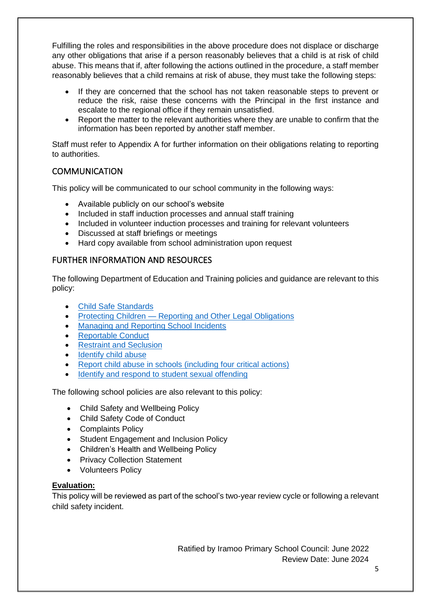Fulfilling the roles and responsibilities in the above procedure does not displace or discharge any other obligations that arise if a person reasonably believes that a child is at risk of child abuse. This means that if, after following the actions outlined in the procedure, a staff member reasonably believes that a child remains at risk of abuse, they must take the following steps:

- If they are concerned that the school has not taken reasonable steps to prevent or reduce the risk, raise these concerns with the Principal in the first instance and escalate to the regional office if they remain unsatisfied.
- Report the matter to the relevant authorities where they are unable to confirm that the information has been reported by another staff member.

Staff must refer to Appendix A for further information on their obligations relating to reporting to authorities.

# **COMMUNICATION**

This policy will be communicated to our school community in the following ways:

- Available publicly on our school's website
- Included in staff induction processes and annual staff training
- Included in volunteer induction processes and training for relevant volunteers
- Discussed at staff briefings or meetings
- Hard copy available from school administration upon request

# FURTHER INFORMATION AND RESOURCES

The following Department of Education and Training policies and guidance are relevant to this policy:

- [Child Safe Standards](https://www2.education.vic.gov.au/pal/child-safe-standards/policy)
- Protecting Children [Reporting and Other Legal Obligations](https://www2.education.vic.gov.au/pal/protecting-children/policy)
- [Managing and Reporting School Incidents](https://www2.education.vic.gov.au/pal/reporting-and-managing-school-incidents-including-emergencies/policy)
- [Reportable Conduct](https://www2.education.vic.gov.au/pal/reportable-conduct-scheme/policy)
- [Restraint and Seclusion](https://www2.education.vic.gov.au/pal/restraint-seclusion/policy)
- [Identify child abuse](https://www.education.vic.gov.au/school/teachers/health/childprotection/Pages/identify.aspx)
- [Report child abuse in schools \(including four critical actions\)](https://www.education.vic.gov.au/school/teachers/health/childprotection/Pages/report.aspx)
- [Identify and respond to student sexual offending](https://www.education.vic.gov.au/school/teachers/health/childprotection/Pages/stusexual.aspx)

The following school policies are also relevant to this policy:

- Child Safety and Wellbeing Policy
- Child Safety Code of Conduct
- Complaints Policy
- Student Engagement and Inclusion Policy
- Children's Health and Wellbeing Policy
- Privacy Collection Statement
- Volunteers Policy

#### **Evaluation:**

This policy will be reviewed as part of the school's two-year review cycle or following a relevant child safety incident.

> Ratified by Iramoo Primary School Council: June 2022 Review Date: June 2024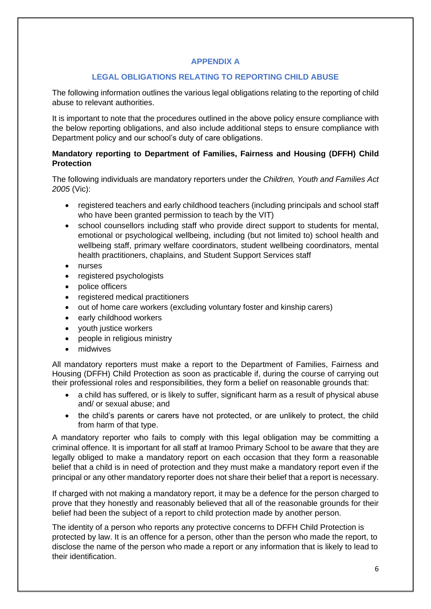## **APPENDIX A**

## **LEGAL OBLIGATIONS RELATING TO REPORTING CHILD ABUSE**

The following information outlines the various legal obligations relating to the reporting of child abuse to relevant authorities.

It is important to note that the procedures outlined in the above policy ensure compliance with the below reporting obligations, and also include additional steps to ensure compliance with Department policy and our school's duty of care obligations.

## **Mandatory reporting to Department of Families, Fairness and Housing (DFFH) Child Protection**

The following individuals are mandatory reporters under the *Children, Youth and Families Act 2005* (Vic):

- registered teachers and early childhood teachers (including principals and school staff who have been granted permission to teach by the VIT)
- school counsellors including staff who provide direct support to students for mental, emotional or psychological wellbeing, including (but not limited to) school health and wellbeing staff, primary welfare coordinators, student wellbeing coordinators, mental health practitioners, chaplains, and Student Support Services staff
- nurses
- registered psychologists
- police officers
- registered medical practitioners
- out of home care workers (excluding voluntary foster and kinship carers)
- early childhood workers
- youth justice workers
- people in religious ministry
- midwives

All mandatory reporters must make a report to the Department of Families, Fairness and Housing (DFFH) Child Protection as soon as practicable if, during the course of carrying out their professional roles and responsibilities, they form a belief on reasonable grounds that:

- a child has suffered, or is likely to suffer, significant harm as a result of physical abuse and/ or sexual abuse; and
- the child's parents or carers have not protected, or are unlikely to protect, the child from harm of that type.

A mandatory reporter who fails to comply with this legal obligation may be committing a criminal offence. It is important for all staff at Iramoo Primary School to be aware that they are legally obliged to make a mandatory report on each occasion that they form a reasonable belief that a child is in need of protection and they must make a mandatory report even if the principal or any other mandatory reporter does not share their belief that a report is necessary.

If charged with not making a mandatory report, it may be a defence for the person charged to prove that they honestly and reasonably believed that all of the reasonable grounds for their belief had been the subject of a report to child protection made by another person.

The identity of a person who reports any protective concerns to DFFH Child Protection is protected by law. It is an offence for a person, other than the person who made the report, to disclose the name of the person who made a report or any information that is likely to lead to their identification.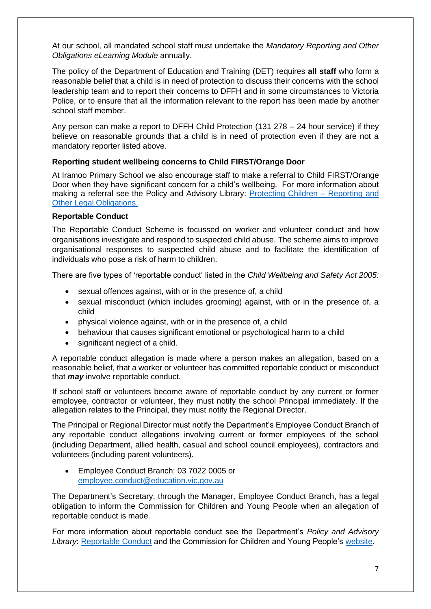At our school, all mandated school staff must undertake the *Mandatory Reporting and Other Obligations eLearning Module* annually.

The policy of the Department of Education and Training (DET) requires **all staff** who form a reasonable belief that a child is in need of protection to discuss their concerns with the school leadership team and to report their concerns to DFFH and in some circumstances to Victoria Police, or to ensure that all the information relevant to the report has been made by another school staff member.

Any person can make a report to DFFH Child Protection (131 278 – 24 hour service) if they believe on reasonable grounds that a child is in need of protection even if they are not a mandatory reporter listed above.

## **Reporting student wellbeing concerns to Child FIRST/Orange Door**

At Iramoo Primary School we also encourage staff to make a referral to Child FIRST/Orange Door when they have significant concern for a child's wellbeing. For more information about making a referral see the Policy and Advisory Library: [Protecting Children –](https://www2.education.vic.gov.au/pal/protecting-children/policy) Reporting and [Other Legal Obligations.](https://www2.education.vic.gov.au/pal/protecting-children/policy)

#### **Reportable Conduct**

The Reportable Conduct Scheme is focussed on worker and volunteer conduct and how organisations investigate and respond to suspected child abuse. The scheme aims to improve organisational responses to suspected child abuse and to facilitate the identification of individuals who pose a risk of harm to children.

There are five types of 'reportable conduct' listed in the *Child Wellbeing and Safety Act 2005:*

- sexual offences against, with or in the presence of, a child
- sexual misconduct (which includes grooming) against, with or in the presence of, a child
- physical violence against, with or in the presence of, a child
- behaviour that causes significant emotional or psychological harm to a child
- significant neglect of a child.

A reportable conduct allegation is made where a person makes an allegation, based on a reasonable belief, that a worker or volunteer has committed reportable conduct or misconduct that *may* involve reportable conduct.

If school staff or volunteers become aware of reportable conduct by any current or former employee, contractor or volunteer, they must notify the school Principal immediately. If the allegation relates to the Principal, they must notify the Regional Director.

The Principal or Regional Director must notify the Department's Employee Conduct Branch of any reportable conduct allegations involving current or former employees of the school (including Department, allied health, casual and school council employees), contractors and volunteers (including parent volunteers).

• Employee Conduct Branch: 03 7022 0005 or [employee.conduct@education.vic.gov.au](mailto:employee.conduct@education.vic.gov.au)

The Department's Secretary, through the Manager, Employee Conduct Branch, has a legal obligation to inform the Commission for Children and Young People when an allegation of reportable conduct is made.

For more information about reportable conduct see the Department's *Policy and Advisory Library*: [Reportable Conduct](https://www2.education.vic.gov.au/pal/reportable-conduct-scheme/policy) and the Commission for Children and Young People's [website.](https://ccyp.vic.gov.au/reportable-conduct-scheme/)